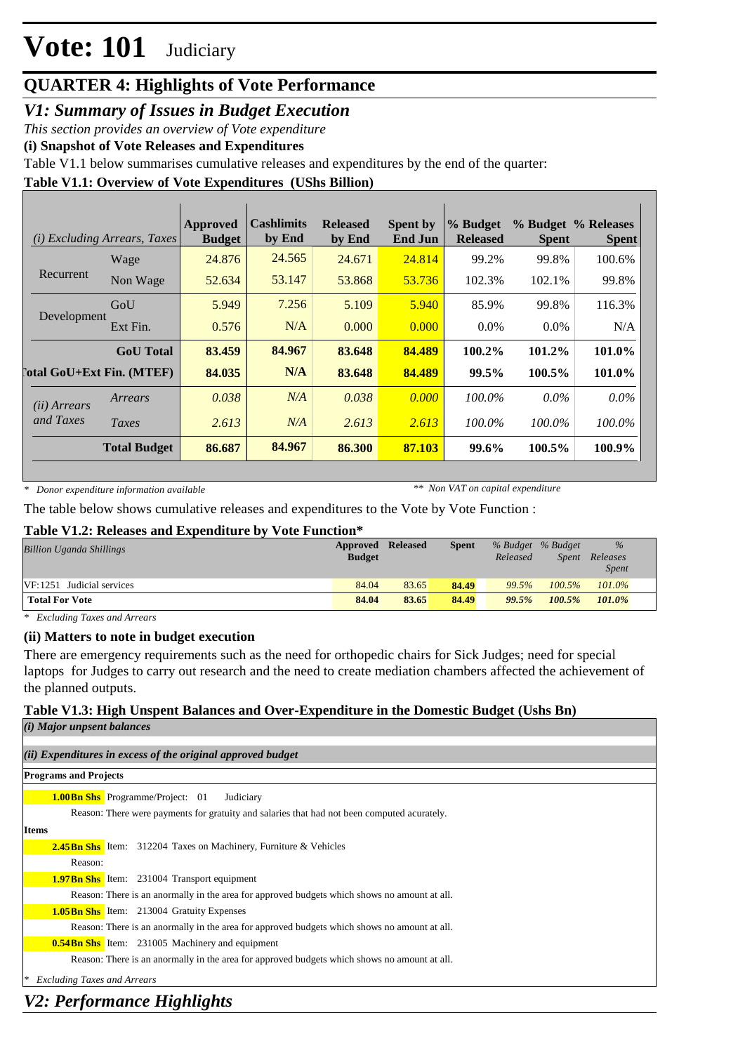### **QUARTER 4: Highlights of Vote Performance**

### *V1: Summary of Issues in Budget Execution*

*This section provides an overview of Vote expenditure*

**(i) Snapshot of Vote Releases and Expenditures**

Table V1.1 below summarises cumulative releases and expenditures by the end of the quarter:

### **Table V1.1: Overview of Vote Expenditures (UShs Billion)**

| (i)                   | <b>Excluding Arrears, Taxes</b>  | Approved<br><b>Budget</b> | <b>Cashlimits</b><br>by End | <b>Released</b><br>by End | <b>Spent by</b><br><b>End Jun</b> | % Budget<br><b>Released</b> | <b>Spent</b> | % Budget % Releases<br><b>Spent</b> |
|-----------------------|----------------------------------|---------------------------|-----------------------------|---------------------------|-----------------------------------|-----------------------------|--------------|-------------------------------------|
|                       | Wage                             | 24.876                    | 24.565                      | 24.671                    | 24.814                            | 99.2%                       | 99.8%        | 100.6%                              |
| Recurrent             | Non Wage                         | 52.634                    | 53.147                      | 53.868                    | 53.736                            | 102.3%                      | 102.1%       | 99.8%                               |
|                       | GoU                              | 5.949                     | 7.256                       | 5.109                     | 5.940                             | 85.9%                       | 99.8%        | 116.3%                              |
| Development           | Ext Fin.                         | 0.576                     | N/A                         | 0.000                     | 0.000                             | $0.0\%$                     | $0.0\%$      | N/A                                 |
|                       | <b>GoU</b> Total                 | 83.459                    | 84.967                      | 83.648                    | 84.489                            | 100.2%                      | 101.2%       | 101.0%                              |
|                       | <b>Total GoU+Ext Fin. (MTEF)</b> | 84.035                    | N/A                         | 83.648                    | 84.489                            | 99.5%                       | 100.5%       | 101.0%                              |
| ( <i>ii</i> ) Arrears | Arrears                          | 0.038                     | N/A                         | 0.038                     | 0.000                             | 100.0%                      | $0.0\%$      | $0.0\%$                             |
| and Taxes             | Taxes                            | 2.613                     | N/A                         | 2.613                     | 2.613                             | 100.0%                      | 100.0%       | 100.0%                              |
|                       | <b>Total Budget</b>              | 86.687                    | 84.967                      | 86.300                    | 87.103                            | 99.6%                       | 100.5%       | 100.9%                              |

*\* Donor expenditure information available*

*\*\* Non VAT on capital expenditure*

The table below shows cumulative releases and expenditures to the Vote by Vote Function :

#### **Table V1.2: Releases and Expenditure by Vote Function\***

| <b>Billion Uganda Shillings</b> | <b>Approved Released</b> |       | <b>Spent</b> |          | % Budget % Budget | $\%$                     |
|---------------------------------|--------------------------|-------|--------------|----------|-------------------|--------------------------|
|                                 | <b>Budget</b>            |       |              | Released | <i>Spent</i>      | Releases<br><i>Spent</i> |
| $VF: 1251$ Judicial services    | 84.04                    | 83.65 | 84.49        | 99.5%    | $100.5\%$         | 101.0%                   |
| <b>Total For Vote</b>           | 84.04                    | 83.65 | 84.49        | 99.5%    | 100.5%            | 101.0%                   |

*\* Excluding Taxes and Arrears*

#### **(ii) Matters to note in budget execution**

There are emergency requirements such as the need for orthopedic chairs for Sick Judges; need for special laptops for Judges to carry out research and the need to create mediation chambers affected the achievement of the planned outputs.

#### **Table V1.3: High Unspent Balances and Over-Expenditure in the Domestic Budget (Ushs Bn)**

| $(i)$ Major unpsent balances                                                                 |
|----------------------------------------------------------------------------------------------|
|                                                                                              |
| (ii) Expenditures in excess of the original approved budget                                  |
| <b>Programs and Projects</b>                                                                 |
| <b>1.00 Bn Shs</b> Programme/Project: 01<br>Judiciary                                        |
| Reason: There were payments for gratuity and salaries that had not been computed acurately.  |
| <b>Items</b>                                                                                 |
| <b>2.45 Bn Shs</b> Item: 312204 Taxes on Machinery, Furniture & Vehicles                     |
| Reason:                                                                                      |
| <b>1.97Bn Shs</b> Item: 231004 Transport equipment                                           |
| Reason: There is an anormally in the area for approved budgets which shows no amount at all. |
| <b>1.05 Bn Shs</b> Item: 213004 Gratuity Expenses                                            |
| Reason: There is an anormally in the area for approved budgets which shows no amount at all. |
| <b>0.54Bn Shs</b> Item: 231005 Machinery and equipment                                       |
| Reason: There is an anormally in the area for approved budgets which shows no amount at all. |
| <b>Excluding Taxes and Arrears</b><br>∗                                                      |

### *V2: Performance Highlights*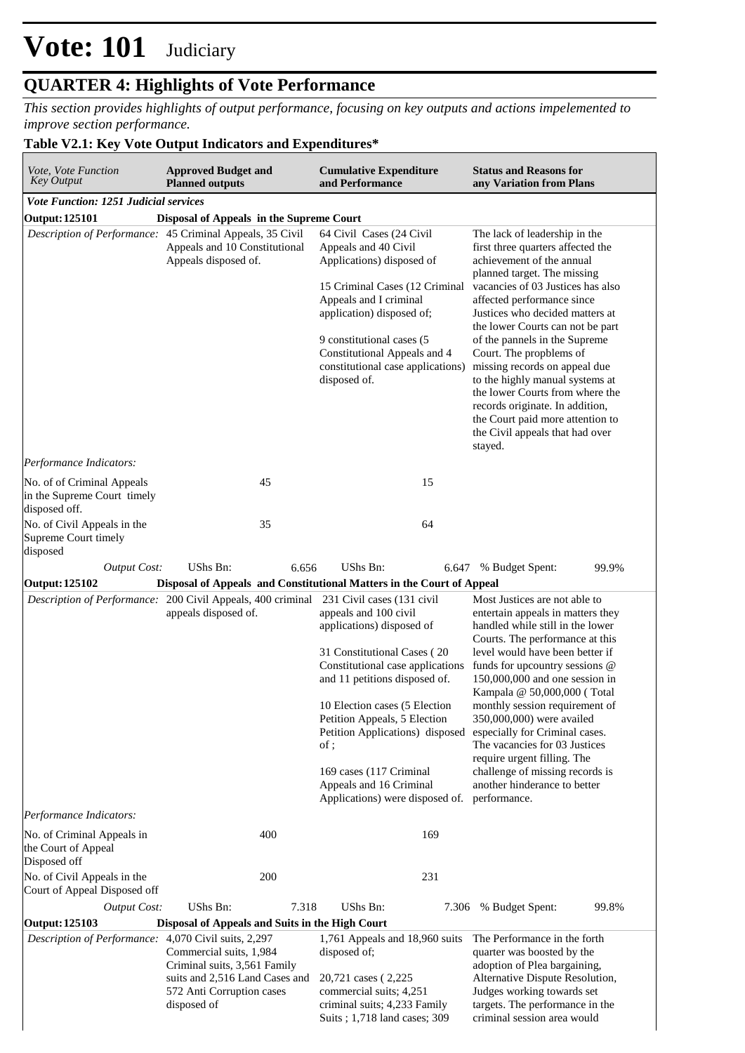### **QUARTER 4: Highlights of Vote Performance**

*This section provides highlights of output performance, focusing on key outputs and actions impelemented to improve section performance.*

### **Table V2.1: Key Vote Output Indicators and Expenditures\***

| Vote, Vote Function<br><b>Key Output</b>                                                                           | <b>Approved Budget and</b><br><b>Planned outputs</b>                                                                                                                                                                                                                                                                                                                                                                                                                                                                                                                  | <b>Cumulative Expenditure</b><br>and Performance                                                                                                                                                                                                                                         | <b>Status and Reasons for</b><br>any Variation from Plans                                                                                                                                                                                                                                                                                                                                                                                                                                                                                                        |  |  |  |  |  |  |  |
|--------------------------------------------------------------------------------------------------------------------|-----------------------------------------------------------------------------------------------------------------------------------------------------------------------------------------------------------------------------------------------------------------------------------------------------------------------------------------------------------------------------------------------------------------------------------------------------------------------------------------------------------------------------------------------------------------------|------------------------------------------------------------------------------------------------------------------------------------------------------------------------------------------------------------------------------------------------------------------------------------------|------------------------------------------------------------------------------------------------------------------------------------------------------------------------------------------------------------------------------------------------------------------------------------------------------------------------------------------------------------------------------------------------------------------------------------------------------------------------------------------------------------------------------------------------------------------|--|--|--|--|--|--|--|
| <b>Vote Function: 1251 Judicial services</b>                                                                       |                                                                                                                                                                                                                                                                                                                                                                                                                                                                                                                                                                       |                                                                                                                                                                                                                                                                                          |                                                                                                                                                                                                                                                                                                                                                                                                                                                                                                                                                                  |  |  |  |  |  |  |  |
| <b>Output: 125101</b><br>Disposal of Appeals in the Supreme Court                                                  |                                                                                                                                                                                                                                                                                                                                                                                                                                                                                                                                                                       |                                                                                                                                                                                                                                                                                          |                                                                                                                                                                                                                                                                                                                                                                                                                                                                                                                                                                  |  |  |  |  |  |  |  |
| Description of Performance: 45 Criminal Appeals, 35 Civil<br>Appeals and 10 Constitutional<br>Appeals disposed of. |                                                                                                                                                                                                                                                                                                                                                                                                                                                                                                                                                                       | 64 Civil Cases (24 Civil<br>Appeals and 40 Civil<br>Applications) disposed of<br>15 Criminal Cases (12 Criminal<br>Appeals and I criminal<br>application) disposed of;<br>9 constitutional cases (5<br>Constitutional Appeals and 4<br>constitutional case applications)<br>disposed of. | The lack of leadership in the<br>first three quarters affected the<br>achievement of the annual<br>planned target. The missing<br>vacancies of 03 Justices has also<br>affected performance since<br>Justices who decided matters at<br>the lower Courts can not be part<br>of the pannels in the Supreme<br>Court. The propblems of<br>missing records on appeal due<br>to the highly manual systems at<br>the lower Courts from where the<br>records originate. In addition,<br>the Court paid more attention to<br>the Civil appeals that had over<br>stayed. |  |  |  |  |  |  |  |
| Performance Indicators:                                                                                            |                                                                                                                                                                                                                                                                                                                                                                                                                                                                                                                                                                       |                                                                                                                                                                                                                                                                                          |                                                                                                                                                                                                                                                                                                                                                                                                                                                                                                                                                                  |  |  |  |  |  |  |  |
| No. of of Criminal Appeals<br>in the Supreme Court timely<br>disposed off.                                         | 45                                                                                                                                                                                                                                                                                                                                                                                                                                                                                                                                                                    | 15                                                                                                                                                                                                                                                                                       |                                                                                                                                                                                                                                                                                                                                                                                                                                                                                                                                                                  |  |  |  |  |  |  |  |
| No. of Civil Appeals in the<br>Supreme Court timely<br>disposed                                                    | 35                                                                                                                                                                                                                                                                                                                                                                                                                                                                                                                                                                    | 64                                                                                                                                                                                                                                                                                       |                                                                                                                                                                                                                                                                                                                                                                                                                                                                                                                                                                  |  |  |  |  |  |  |  |
| <b>Output Cost:</b>                                                                                                | <b>UShs Bn:</b><br>6.656                                                                                                                                                                                                                                                                                                                                                                                                                                                                                                                                              | UShs Bn:                                                                                                                                                                                                                                                                                 | 99.9%<br>6.647 % Budget Spent:                                                                                                                                                                                                                                                                                                                                                                                                                                                                                                                                   |  |  |  |  |  |  |  |
| <b>Output: 125102</b>                                                                                              |                                                                                                                                                                                                                                                                                                                                                                                                                                                                                                                                                                       |                                                                                                                                                                                                                                                                                          |                                                                                                                                                                                                                                                                                                                                                                                                                                                                                                                                                                  |  |  |  |  |  |  |  |
| Performance Indicators:                                                                                            | Disposal of Appeals and Constitutional Matters in the Court of Appeal<br>Description of Performance: 200 Civil Appeals, 400 criminal<br>231 Civil cases (131 civil<br>appeals disposed of.<br>appeals and 100 civil<br>applications) disposed of<br>31 Constitutional Cases (20<br>Constitutional case applications<br>and 11 petitions disposed of.<br>10 Election cases (5 Election<br>Petition Appeals, 5 Election<br>Petition Applications) disposed<br>of;<br>169 cases (117 Criminal<br>Appeals and 16 Criminal<br>Applications) were disposed of. performance. |                                                                                                                                                                                                                                                                                          | Most Justices are not able to<br>entertain appeals in matters they<br>handled while still in the lower<br>Courts. The performance at this<br>level would have been better if<br>funds for upcountry sessions @<br>150,000,000 and one session in<br>Kampala @ 50,000,000 (Total<br>monthly session requirement of<br>350,000,000) were availed<br>especially for Criminal cases.<br>The vacancies for 03 Justices<br>require urgent filling. The<br>challenge of missing records is<br>another hinderance to better                                              |  |  |  |  |  |  |  |
|                                                                                                                    |                                                                                                                                                                                                                                                                                                                                                                                                                                                                                                                                                                       |                                                                                                                                                                                                                                                                                          |                                                                                                                                                                                                                                                                                                                                                                                                                                                                                                                                                                  |  |  |  |  |  |  |  |
| No. of Criminal Appeals in<br>the Court of Appeal<br>Disposed off                                                  | 400                                                                                                                                                                                                                                                                                                                                                                                                                                                                                                                                                                   | 169                                                                                                                                                                                                                                                                                      |                                                                                                                                                                                                                                                                                                                                                                                                                                                                                                                                                                  |  |  |  |  |  |  |  |
| No. of Civil Appeals in the                                                                                        | 200                                                                                                                                                                                                                                                                                                                                                                                                                                                                                                                                                                   | 231                                                                                                                                                                                                                                                                                      |                                                                                                                                                                                                                                                                                                                                                                                                                                                                                                                                                                  |  |  |  |  |  |  |  |
| Court of Appeal Disposed off                                                                                       | UShs Bn:                                                                                                                                                                                                                                                                                                                                                                                                                                                                                                                                                              |                                                                                                                                                                                                                                                                                          |                                                                                                                                                                                                                                                                                                                                                                                                                                                                                                                                                                  |  |  |  |  |  |  |  |
| <b>Output Cost:</b>                                                                                                | 7.318                                                                                                                                                                                                                                                                                                                                                                                                                                                                                                                                                                 | UShs Bn:                                                                                                                                                                                                                                                                                 | 99.8%<br>7.306 % Budget Spent:                                                                                                                                                                                                                                                                                                                                                                                                                                                                                                                                   |  |  |  |  |  |  |  |
| <b>Output: 125103</b><br>Description of Performance:                                                               | Disposal of Appeals and Suits in the High Court<br>4,070 Civil suits, 2,297<br>Commercial suits, 1,984<br>Criminal suits, 3,561 Family<br>suits and 2,516 Land Cases and<br>572 Anti Corruption cases<br>disposed of                                                                                                                                                                                                                                                                                                                                                  | 1,761 Appeals and 18,960 suits<br>disposed of;<br>20,721 cases (2,225)<br>commercial suits; 4,251<br>criminal suits; 4,233 Family<br>Suits ; 1,718 land cases; 309                                                                                                                       | The Performance in the forth<br>quarter was boosted by the<br>adoption of Plea bargaining,<br>Alternative Dispute Resolution,<br>Judges working towards set<br>targets. The performance in the<br>criminal session area would                                                                                                                                                                                                                                                                                                                                    |  |  |  |  |  |  |  |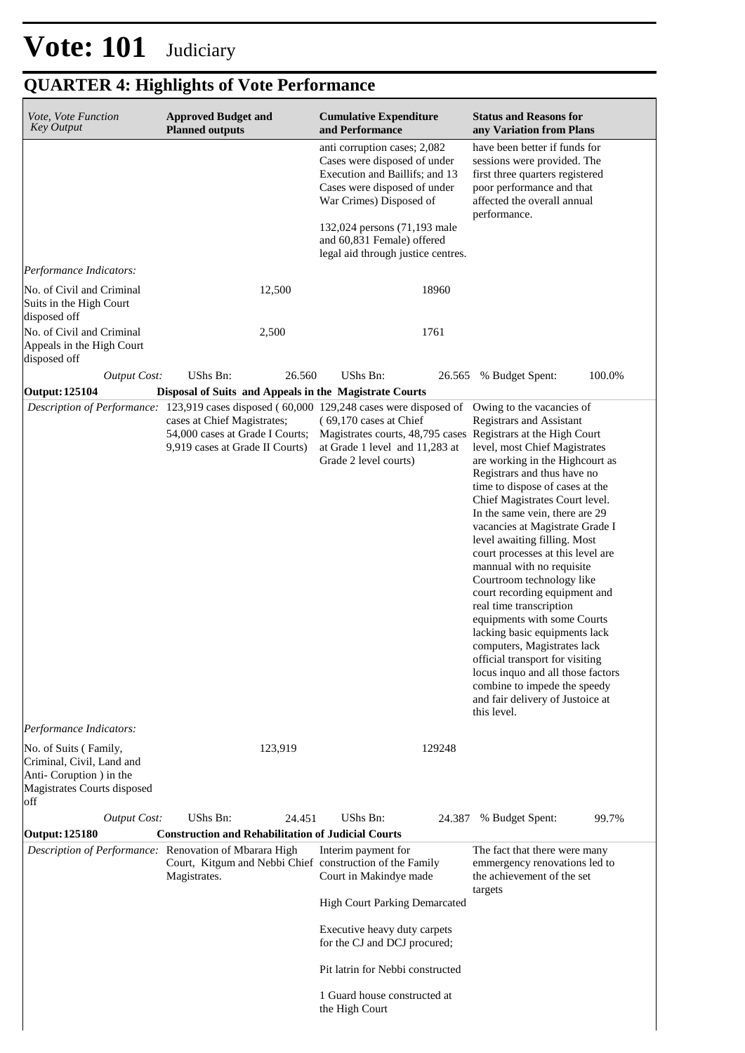## **QUARTER 4: Highlights of Vote Performance**

| Vote, Vote Function<br><b>Key Output</b>                                                   | <b>Approved Budget and</b><br><b>Planned outputs</b>                                                                                                                                           | <b>Cumulative Expenditure</b><br>and Performance                                                                                                          | <b>Status and Reasons for</b><br>any Variation from Plans                                                                                                                                                                                                                                                                                                                                                                                                                                                                                                                                                                                                                                                                                               |
|--------------------------------------------------------------------------------------------|------------------------------------------------------------------------------------------------------------------------------------------------------------------------------------------------|-----------------------------------------------------------------------------------------------------------------------------------------------------------|---------------------------------------------------------------------------------------------------------------------------------------------------------------------------------------------------------------------------------------------------------------------------------------------------------------------------------------------------------------------------------------------------------------------------------------------------------------------------------------------------------------------------------------------------------------------------------------------------------------------------------------------------------------------------------------------------------------------------------------------------------|
|                                                                                            |                                                                                                                                                                                                | anti corruption cases; 2,082<br>Cases were disposed of under<br>Execution and Baillifs; and 13<br>Cases were disposed of under<br>War Crimes) Disposed of | have been better if funds for<br>sessions were provided. The<br>first three quarters registered<br>poor performance and that<br>affected the overall annual<br>performance.                                                                                                                                                                                                                                                                                                                                                                                                                                                                                                                                                                             |
|                                                                                            |                                                                                                                                                                                                | 132,024 persons (71,193 male<br>and 60,831 Female) offered<br>legal aid through justice centres.                                                          |                                                                                                                                                                                                                                                                                                                                                                                                                                                                                                                                                                                                                                                                                                                                                         |
| Performance Indicators:                                                                    |                                                                                                                                                                                                |                                                                                                                                                           |                                                                                                                                                                                                                                                                                                                                                                                                                                                                                                                                                                                                                                                                                                                                                         |
| No. of Civil and Criminal<br>Suits in the High Court<br>disposed off                       | 12,500                                                                                                                                                                                         | 18960                                                                                                                                                     |                                                                                                                                                                                                                                                                                                                                                                                                                                                                                                                                                                                                                                                                                                                                                         |
| No. of Civil and Criminal<br>Appeals in the High Court<br>disposed off                     | 2,500                                                                                                                                                                                          | 1761                                                                                                                                                      |                                                                                                                                                                                                                                                                                                                                                                                                                                                                                                                                                                                                                                                                                                                                                         |
| <b>Output Cost:</b>                                                                        | UShs Bn:<br>26.560                                                                                                                                                                             | UShs Bn:<br>26.565                                                                                                                                        | 100.0%<br>% Budget Spent:                                                                                                                                                                                                                                                                                                                                                                                                                                                                                                                                                                                                                                                                                                                               |
| <b>Output: 125104</b>                                                                      | Disposal of Suits and Appeals in the Magistrate Courts                                                                                                                                         |                                                                                                                                                           |                                                                                                                                                                                                                                                                                                                                                                                                                                                                                                                                                                                                                                                                                                                                                         |
|                                                                                            | Description of Performance: 123,919 cases disposed (60,000 129,248 cases were disposed of<br>cases at Chief Magistrates;<br>54,000 cases at Grade I Courts;<br>9,919 cases at Grade II Courts) | (69,170 cases at Chief<br>Magistrates courts, 48,795 cases Registrars at the High Court<br>at Grade 1 level and 11,283 at<br>Grade 2 level courts)        | Owing to the vacancies of<br>Registrars and Assistant<br>level, most Chief Magistrates<br>are working in the Highcourt as<br>Registrars and thus have no<br>time to dispose of cases at the<br>Chief Magistrates Court level.<br>In the same vein, there are 29<br>vacancies at Magistrate Grade I<br>level awaiting filling. Most<br>court processes at this level are<br>mannual with no requisite<br>Courtroom technology like<br>court recording equipment and<br>real time transcription<br>equipments with some Courts<br>lacking basic equipments lack<br>computers, Magistrates lack<br>official transport for visiting<br>locus inquo and all those factors<br>combine to impede the speedy<br>and fair delivery of Justoice at<br>this level. |
| Performance Indicators:<br>No. of Suits (Family,                                           | 123,919                                                                                                                                                                                        | 129248                                                                                                                                                    |                                                                                                                                                                                                                                                                                                                                                                                                                                                                                                                                                                                                                                                                                                                                                         |
| Criminal, Civil, Land and<br>Anti-Coruption ) in the<br>Magistrates Courts disposed<br>off |                                                                                                                                                                                                |                                                                                                                                                           |                                                                                                                                                                                                                                                                                                                                                                                                                                                                                                                                                                                                                                                                                                                                                         |
| <b>Output Cost:</b>                                                                        | UShs Bn:<br>24.451                                                                                                                                                                             | UShs Bn:<br>24.387                                                                                                                                        | % Budget Spent:<br>99.7%                                                                                                                                                                                                                                                                                                                                                                                                                                                                                                                                                                                                                                                                                                                                |
| <b>Output: 125180</b>                                                                      | <b>Construction and Rehabilitation of Judicial Courts</b>                                                                                                                                      |                                                                                                                                                           |                                                                                                                                                                                                                                                                                                                                                                                                                                                                                                                                                                                                                                                                                                                                                         |
|                                                                                            | Description of Performance: Renovation of Mbarara High<br>Court, Kitgum and Nebbi Chief construction of the Family<br>Magistrates.                                                             | Interim payment for<br>Court in Makindye made                                                                                                             | The fact that there were many<br>emmergency renovations led to<br>the achievement of the set<br>targets                                                                                                                                                                                                                                                                                                                                                                                                                                                                                                                                                                                                                                                 |
|                                                                                            |                                                                                                                                                                                                | <b>High Court Parking Demarcated</b>                                                                                                                      |                                                                                                                                                                                                                                                                                                                                                                                                                                                                                                                                                                                                                                                                                                                                                         |
|                                                                                            |                                                                                                                                                                                                | Executive heavy duty carpets<br>for the CJ and DCJ procured;                                                                                              |                                                                                                                                                                                                                                                                                                                                                                                                                                                                                                                                                                                                                                                                                                                                                         |
|                                                                                            |                                                                                                                                                                                                | Pit latrin for Nebbi constructed                                                                                                                          |                                                                                                                                                                                                                                                                                                                                                                                                                                                                                                                                                                                                                                                                                                                                                         |
|                                                                                            |                                                                                                                                                                                                | 1 Guard house constructed at<br>the High Court                                                                                                            |                                                                                                                                                                                                                                                                                                                                                                                                                                                                                                                                                                                                                                                                                                                                                         |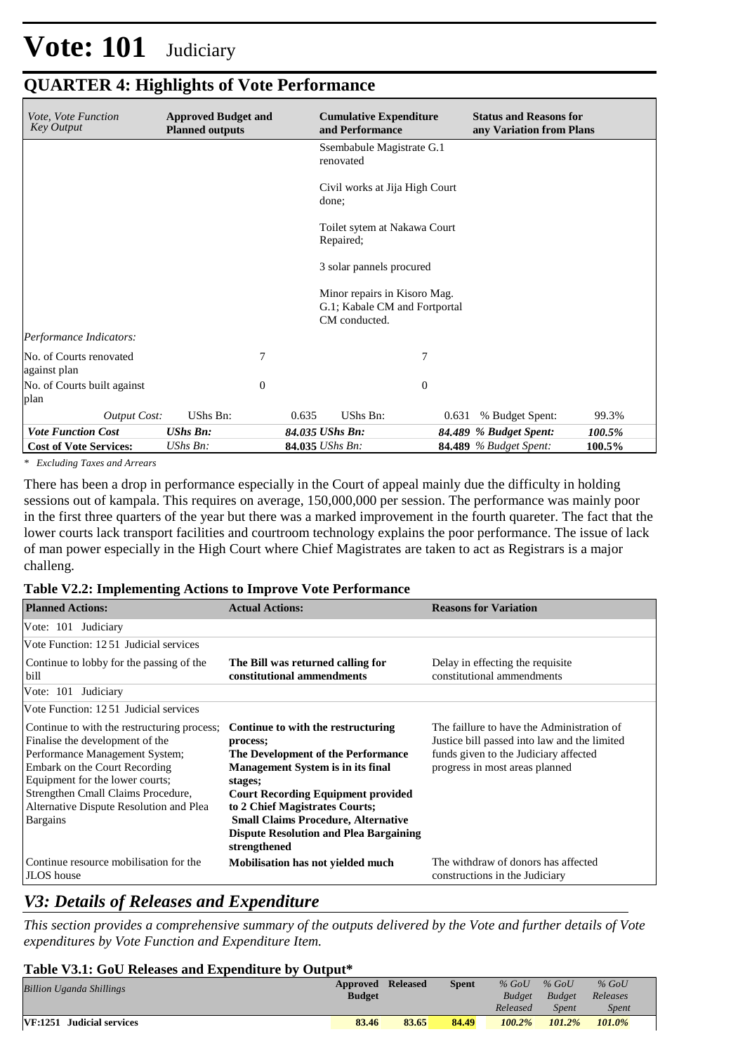### **QUARTER 4: Highlights of Vote Performance**

| <i>Vote, Vote Function</i><br><b>Key Output</b> | <b>Approved Budget and</b><br><b>Planned outputs</b> | <b>Cumulative Expenditure</b><br>and Performance                               | <b>Status and Reasons for</b><br>any Variation from Plans |
|-------------------------------------------------|------------------------------------------------------|--------------------------------------------------------------------------------|-----------------------------------------------------------|
|                                                 |                                                      | Ssembabule Magistrate G.1<br>renovated                                         |                                                           |
|                                                 |                                                      | Civil works at Jija High Court<br>done;                                        |                                                           |
|                                                 |                                                      | Toilet sytem at Nakawa Court<br>Repaired;                                      |                                                           |
|                                                 |                                                      | 3 solar pannels procured                                                       |                                                           |
|                                                 |                                                      | Minor repairs in Kisoro Mag.<br>G.1; Kabale CM and Fortportal<br>CM conducted. |                                                           |
| Performance Indicators:                         |                                                      |                                                                                |                                                           |
| No. of Courts renovated<br>against plan         | 7                                                    |                                                                                | 7                                                         |
| No. of Courts built against<br>plan             | $\theta$                                             |                                                                                | $\mathbf{0}$                                              |
| <b>Output Cost:</b>                             | UShs Bn:                                             | UShs Bn:<br>0.635                                                              | % Budget Spent:<br>99.3%<br>0.631                         |
| <b>Vote Function Cost</b>                       | <b>UShs Bn:</b>                                      | 84.035 UShs Bn:                                                                | 84.489 % Budget Spent:<br>100.5%                          |
| <b>Cost of Vote Services:</b>                   | UShs Bn:                                             | 84.035 UShs Bn:                                                                | <b>84.489</b> % Budget Spent:<br>100.5%                   |

*\* Excluding Taxes and Arrears*

There has been a drop in performance especially in the Court of appeal mainly due the difficulty in holding sessions out of kampala. This requires on average, 150,000,000 per session. The performance was mainly poor in the first three quarters of the year but there was a marked improvement in the fourth quareter. The fact that the lower courts lack transport facilities and courtroom technology explains the poor performance. The issue of lack of man power especially in the High Court where Chief Magistrates are taken to act as Registrars is a major challeng.

#### **Table V2.2: Implementing Actions to Improve Vote Performance**

| <b>Planned Actions:</b>                                                                                                                                                                                                                                                                  | <b>Actual Actions:</b>                                                                                                                                                                                                                                                                                                                    | <b>Reasons for Variation</b>                                                                                                                                          |
|------------------------------------------------------------------------------------------------------------------------------------------------------------------------------------------------------------------------------------------------------------------------------------------|-------------------------------------------------------------------------------------------------------------------------------------------------------------------------------------------------------------------------------------------------------------------------------------------------------------------------------------------|-----------------------------------------------------------------------------------------------------------------------------------------------------------------------|
| Vote: 101 Judiciary                                                                                                                                                                                                                                                                      |                                                                                                                                                                                                                                                                                                                                           |                                                                                                                                                                       |
| Vote Function: 1251 Judicial services                                                                                                                                                                                                                                                    |                                                                                                                                                                                                                                                                                                                                           |                                                                                                                                                                       |
| Continue to lobby for the passing of the<br>bill                                                                                                                                                                                                                                         | The Bill was returned calling for<br>constitutional ammendments                                                                                                                                                                                                                                                                           | Delay in effecting the requisite.<br>constitutional ammendments                                                                                                       |
| Vote: 101 Judiciary                                                                                                                                                                                                                                                                      |                                                                                                                                                                                                                                                                                                                                           |                                                                                                                                                                       |
| Vote Function: 12.51 Judicial services                                                                                                                                                                                                                                                   |                                                                                                                                                                                                                                                                                                                                           |                                                                                                                                                                       |
| Continue to with the restructuring process;<br>Finalise the development of the<br>Performance Management System;<br>Embark on the Court Recording<br>Equipment for the lower courts;<br>Strengthen Cmall Claims Procedure,<br>Alternative Dispute Resolution and Plea<br><b>Bargains</b> | Continue to with the restructuring<br>process;<br>The Development of the Performance<br><b>Management System is in its final</b><br>stages;<br><b>Court Recording Equipment provided</b><br>to 2 Chief Magistrates Courts;<br><b>Small Claims Procedure, Alternative</b><br><b>Dispute Resolution and Plea Bargaining</b><br>strengthened | The faillure to have the Administration of<br>Justice bill passed into law and the limited<br>funds given to the Judiciary affected<br>progress in most areas planned |
| Continue resource mobilisation for the<br>JLOS house                                                                                                                                                                                                                                     | <b>Mobilisation has not yielded much</b>                                                                                                                                                                                                                                                                                                  | The withdraw of donors has affected<br>constructions in the Judiciary                                                                                                 |

### *V3: Details of Releases and Expenditure*

*This section provides a comprehensive summary of the outputs delivered by the Vote and further details of Vote expenditures by Vote Function and Expenditure Item.*

#### **Table V3.1: GoU Releases and Expenditure by Output\***

| <b>Billion Uganda Shillings</b> | Approved Released<br><b>Budget</b> |       | <b>Spent</b> | $%$ GoU<br><b>Budget</b> | $%$ GoU<br>Budget | $%$ GoU<br>Releases |  |
|---------------------------------|------------------------------------|-------|--------------|--------------------------|-------------------|---------------------|--|
|                                 |                                    |       |              | Released                 | <b>Spent</b>      | Spent               |  |
| VF:1251 Judicial services       | 83.46                              | 83.65 | 84.49        | $100.2\%$                | 101.2%            | 101.0%              |  |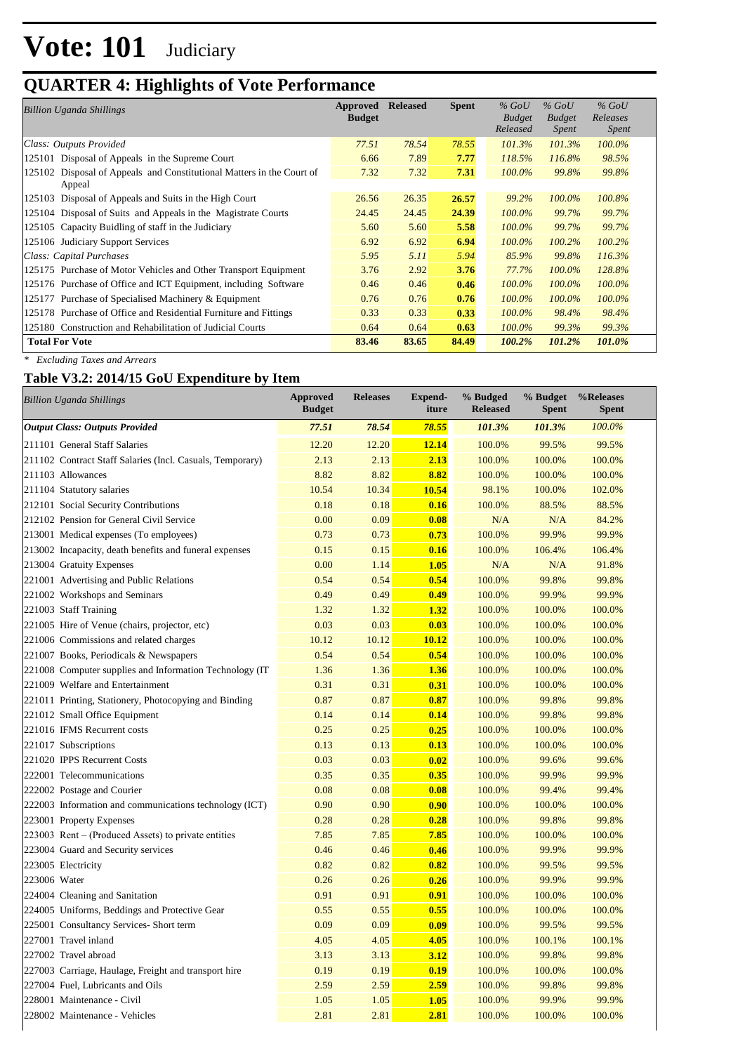### **QUARTER 4: Highlights of Vote Performance**

| Billion Uganda Shillings                                                           | Approved<br><b>Budget</b> | <b>Released</b> | <b>Spent</b> | $\%$ GoU<br><b>Budget</b><br>Released | $\%$ GoU<br><b>Budget</b><br><i>Spent</i> | $%$ GoU<br>Releases<br>Spent |
|------------------------------------------------------------------------------------|---------------------------|-----------------|--------------|---------------------------------------|-------------------------------------------|------------------------------|
| Class: Outputs Provided                                                            | 77.51                     | 78.54           | 78.55        | 101.3%                                | $101.3\%$                                 | $100.0\%$                    |
| Disposal of Appeals in the Supreme Court<br>125101                                 | 6.66                      | 7.89            | 7.77         | 118.5%                                | 116.8%                                    | 98.5%                        |
| Disposal of Appeals and Constitutional Matters in the Court of<br>125102<br>Appeal | 7.32                      | 7.32            | 7.31         | $100.0\%$                             | 99.8%                                     | 99.8%                        |
| 125103 Disposal of Appeals and Suits in the High Court                             | 26.56                     | 26.35           | 26.57        | 99.2%                                 | 100.0%                                    | 100.8%                       |
| 125104 Disposal of Suits and Appeals in the Magistrate Courts                      | 24.45                     | 24.45           | 24.39        | $100.0\%$                             | 99.7%                                     | 99.7%                        |
| 125105 Capacity Buidling of staff in the Judiciary                                 | 5.60                      | 5.60            | 5.58         | $100.0\%$                             | 99.7%                                     | 99.7%                        |
| 125106 Judiciary Support Services                                                  | 6.92                      | 6.92            | 6.94         | $100.0\%$                             | $100.2\%$                                 | 100.2%                       |
| Class: Capital Purchases                                                           | 5.95                      | 5.11            | 5.94         | 85.9%                                 | 99.8%                                     | 116.3%                       |
| 125175 Purchase of Motor Vehicles and Other Transport Equipment                    | 3.76                      | 2.92            | 3.76         | 77.7%                                 | $100.0\%$                                 | 128.8%                       |
| 125176 Purchase of Office and ICT Equipment, including Software                    | 0.46                      | 0.46            | 0.46         | $100.0\%$                             | $100.0\%$                                 | $100.0\%$                    |
| 125177 Purchase of Specialised Machinery & Equipment                               | 0.76                      | 0.76            | 0.76         | $100.0\%$                             | $100.0\%$                                 | $100.0\%$                    |
| 125178 Purchase of Office and Residential Furniture and Fittings                   | 0.33                      | 0.33            | 0.33         | $100.0\%$                             | 98.4%                                     | 98.4%                        |
| 125180 Construction and Rehabilitation of Judicial Courts                          | 0.64                      | 0.64            | 0.63         | $100.0\%$                             | 99.3%                                     | 99.3%                        |
| <b>Total For Vote</b>                                                              | 83.46                     | 83.65           | 84.49        | 100.2%                                | 101.2%                                    | 101.0%                       |

*\* Excluding Taxes and Arrears*

### **Table V3.2: 2014/15 GoU Expenditure by Item**

| <b>Billion Uganda Shillings</b>                           | <b>Approved</b><br><b>Budget</b> | <b>Releases</b> | <b>Expend-</b><br>iture | % Budged<br><b>Released</b> | % Budget<br><b>Spent</b> | %Releases<br><b>Spent</b> |
|-----------------------------------------------------------|----------------------------------|-----------------|-------------------------|-----------------------------|--------------------------|---------------------------|
| <b>Output Class: Outputs Provided</b>                     | 77.51                            | 78.54           | 78.55                   | 101.3%                      | 101.3%                   | 100.0%                    |
| 211101 General Staff Salaries                             | 12.20                            | 12.20           | 12.14                   | 100.0%                      | 99.5%                    | 99.5%                     |
| 211102 Contract Staff Salaries (Incl. Casuals, Temporary) | 2.13                             | 2.13            | 2.13                    | 100.0%                      | 100.0%                   | 100.0%                    |
| 211103 Allowances                                         | 8.82                             | 8.82            | 8.82                    | 100.0%                      | 100.0%                   | 100.0%                    |
| 211104 Statutory salaries                                 | 10.54                            | 10.34           | 10.54                   | 98.1%                       | 100.0%                   | 102.0%                    |
| 212101 Social Security Contributions                      | 0.18                             | 0.18            | 0.16                    | 100.0%                      | 88.5%                    | 88.5%                     |
| 212102 Pension for General Civil Service                  | 0.00                             | 0.09            | 0.08                    | N/A                         | N/A                      | 84.2%                     |
| 213001 Medical expenses (To employees)                    | 0.73                             | 0.73            | 0.73                    | 100.0%                      | 99.9%                    | 99.9%                     |
| 213002 Incapacity, death benefits and funeral expenses    | 0.15                             | 0.15            | 0.16                    | 100.0%                      | 106.4%                   | 106.4%                    |
| 213004 Gratuity Expenses                                  | 0.00                             | 1.14            | 1.05                    | N/A                         | N/A                      | 91.8%                     |
| 221001 Advertising and Public Relations                   | 0.54                             | 0.54            | 0.54                    | 100.0%                      | 99.8%                    | 99.8%                     |
| 221002 Workshops and Seminars                             | 0.49                             | 0.49            | 0.49                    | 100.0%                      | 99.9%                    | 99.9%                     |
| 221003 Staff Training                                     | 1.32                             | 1.32            | 1.32                    | 100.0%                      | 100.0%                   | 100.0%                    |
| 221005 Hire of Venue (chairs, projector, etc)             | 0.03                             | 0.03            | 0.03                    | 100.0%                      | 100.0%                   | 100.0%                    |
| 221006 Commissions and related charges                    | 10.12                            | 10.12           | 10.12                   | 100.0%                      | 100.0%                   | 100.0%                    |
| 221007 Books, Periodicals & Newspapers                    | 0.54                             | 0.54            | 0.54                    | 100.0%                      | 100.0%                   | 100.0%                    |
| 221008 Computer supplies and Information Technology (IT)  | 1.36                             | 1.36            | 1.36                    | 100.0%                      | 100.0%                   | 100.0%                    |
| 221009 Welfare and Entertainment                          | 0.31                             | 0.31            | 0.31                    | 100.0%                      | 100.0%                   | 100.0%                    |
| 221011 Printing, Stationery, Photocopying and Binding     | 0.87                             | 0.87            | 0.87                    | 100.0%                      | 99.8%                    | 99.8%                     |
| 221012 Small Office Equipment                             | 0.14                             | 0.14            | 0.14                    | 100.0%                      | 99.8%                    | 99.8%                     |
| 221016 IFMS Recurrent costs                               | 0.25                             | 0.25            | 0.25                    | 100.0%                      | 100.0%                   | 100.0%                    |
| 221017 Subscriptions                                      | 0.13                             | 0.13            | 0.13                    | 100.0%                      | 100.0%                   | 100.0%                    |
| 221020 IPPS Recurrent Costs                               | 0.03                             | 0.03            | 0.02                    | 100.0%                      | 99.6%                    | 99.6%                     |
| 222001 Telecommunications                                 | 0.35                             | 0.35            | 0.35                    | 100.0%                      | 99.9%                    | 99.9%                     |
| 222002 Postage and Courier                                | 0.08                             | 0.08            | 0.08                    | 100.0%                      | 99.4%                    | 99.4%                     |
| 222003 Information and communications technology (ICT)    | 0.90                             | 0.90            | 0.90                    | 100.0%                      | 100.0%                   | 100.0%                    |
| 223001 Property Expenses                                  | 0.28                             | 0.28            | 0.28                    | 100.0%                      | 99.8%                    | 99.8%                     |
| $223003$ Rent – (Produced Assets) to private entities     | 7.85                             | 7.85            | 7.85                    | 100.0%                      | 100.0%                   | 100.0%                    |
| 223004 Guard and Security services                        | 0.46                             | 0.46            | 0.46                    | 100.0%                      | 99.9%                    | 99.9%                     |
| 223005 Electricity                                        | 0.82                             | 0.82            | 0.82                    | 100.0%                      | 99.5%                    | 99.5%                     |
| 223006 Water                                              | 0.26                             | 0.26            | 0.26                    | 100.0%                      | 99.9%                    | 99.9%                     |
| 224004 Cleaning and Sanitation                            | 0.91                             | 0.91            | 0.91                    | 100.0%                      | 100.0%                   | 100.0%                    |
| 224005 Uniforms, Beddings and Protective Gear             | 0.55                             | 0.55            | 0.55                    | 100.0%                      | 100.0%                   | 100.0%                    |
| 225001 Consultancy Services- Short term                   | 0.09                             | 0.09            | 0.09                    | 100.0%                      | 99.5%                    | 99.5%                     |
| 227001 Travel inland                                      | 4.05                             | 4.05            | 4.05                    | 100.0%                      | 100.1%                   | 100.1%                    |
| 227002 Travel abroad                                      | 3.13                             | 3.13            | 3.12                    | 100.0%                      | 99.8%                    | 99.8%                     |
| 227003 Carriage, Haulage, Freight and transport hire      | 0.19                             | 0.19            | 0.19                    | 100.0%                      | 100.0%                   | 100.0%                    |
| 227004 Fuel, Lubricants and Oils                          | 2.59                             | 2.59            | 2.59                    | 100.0%                      | 99.8%                    | 99.8%                     |
| 228001 Maintenance - Civil                                | 1.05                             | 1.05            | 1.05                    | 100.0%                      | 99.9%                    | 99.9%                     |
| 228002 Maintenance - Vehicles                             | 2.81                             | 2.81            | 2.81                    | 100.0%                      | 100.0%                   | 100.0%                    |